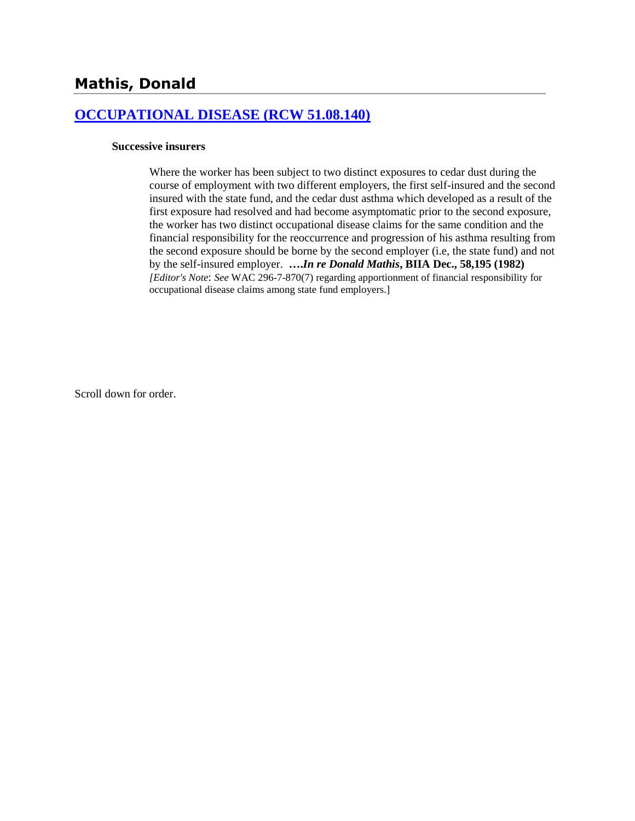## **[OCCUPATIONAL DISEASE \(RCW 51.08.140\)](http://www.biia.wa.gov/SDSubjectIndex.html#OCCUPATIONAL_DISEASE)**

#### **Successive insurers**

Where the worker has been subject to two distinct exposures to cedar dust during the course of employment with two different employers, the first self-insured and the second insured with the state fund, and the cedar dust asthma which developed as a result of the first exposure had resolved and had become asymptomatic prior to the second exposure, the worker has two distinct occupational disease claims for the same condition and the financial responsibility for the reoccurrence and progression of his asthma resulting from the second exposure should be borne by the second employer (i.e, the state fund) and not by the self-insured employer. **….***In re Donald Mathis***, BIIA Dec., 58,195 (1982)**  *[Editor's Note*: *See* WAC 296-7-870(7) regarding apportionment of financial responsibility for occupational disease claims among state fund employers.]

Scroll down for order.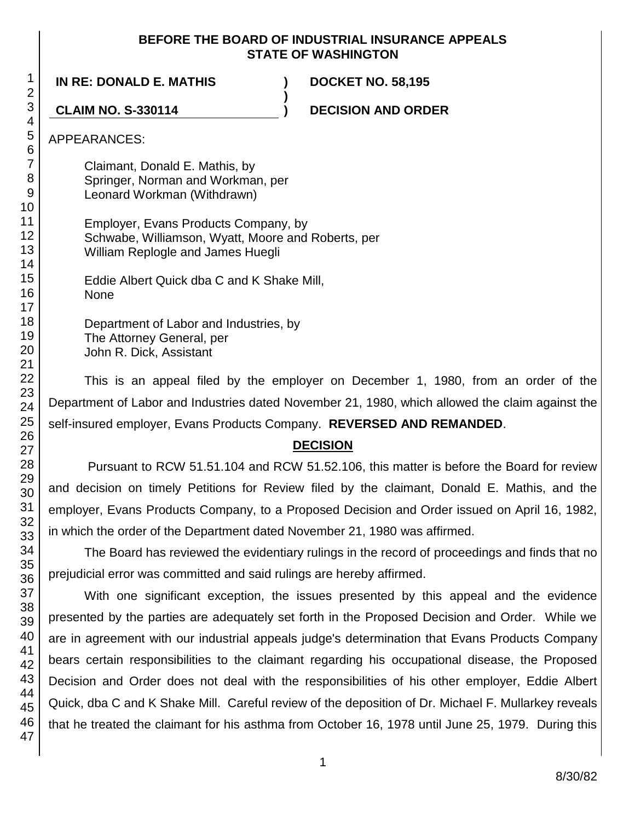#### **BEFORE THE BOARD OF INDUSTRIAL INSURANCE APPEALS STATE OF WASHINGTON**

**)**

**IN RE: DONALD E. MATHIS ) DOCKET NO. 58,195**

**CLAIM NO. S-330114 ) DECISION AND ORDER**

APPEARANCES:

Claimant, Donald E. Mathis, by Springer, Norman and Workman, per Leonard Workman (Withdrawn)

Employer, Evans Products Company, by Schwabe, Williamson, Wyatt, Moore and Roberts, per William Replogle and James Huegli

Eddie Albert Quick dba C and K Shake Mill, None

Department of Labor and Industries, by The Attorney General, per John R. Dick, Assistant

This is an appeal filed by the employer on December 1, 1980, from an order of the Department of Labor and Industries dated November 21, 1980, which allowed the claim against the self-insured employer, Evans Products Company. **REVERSED AND REMANDED**.

## **DECISION**

Pursuant to RCW 51.51.104 and RCW 51.52.106, this matter is before the Board for review and decision on timely Petitions for Review filed by the claimant, Donald E. Mathis, and the employer, Evans Products Company, to a Proposed Decision and Order issued on April 16, 1982, in which the order of the Department dated November 21, 1980 was affirmed.

The Board has reviewed the evidentiary rulings in the record of proceedings and finds that no prejudicial error was committed and said rulings are hereby affirmed.

With one significant exception, the issues presented by this appeal and the evidence presented by the parties are adequately set forth in the Proposed Decision and Order. While we are in agreement with our industrial appeals judge's determination that Evans Products Company bears certain responsibilities to the claimant regarding his occupational disease, the Proposed Decision and Order does not deal with the responsibilities of his other employer, Eddie Albert Quick, dba C and K Shake Mill. Careful review of the deposition of Dr. Michael F. Mullarkey reveals that he treated the claimant for his asthma from October 16, 1978 until June 25, 1979. During this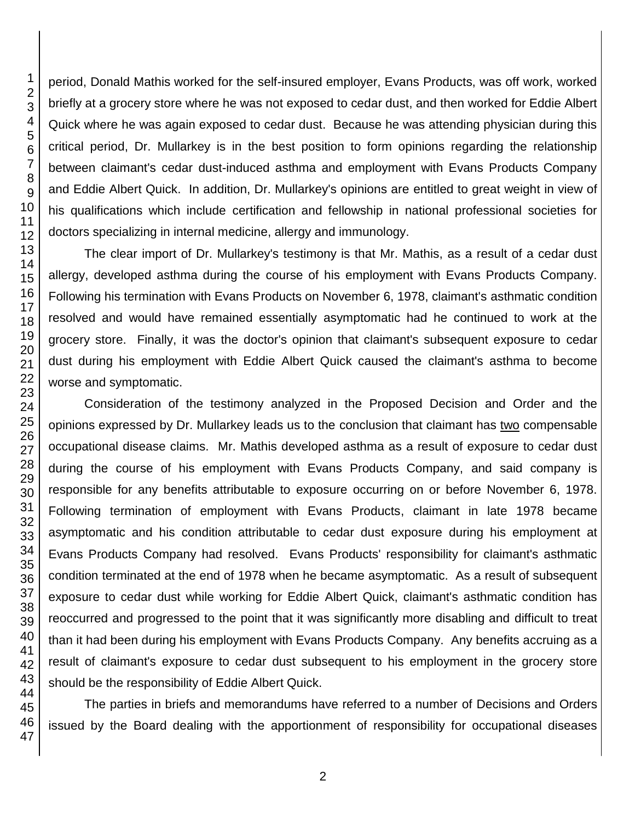period, Donald Mathis worked for the self-insured employer, Evans Products, was off work, worked briefly at a grocery store where he was not exposed to cedar dust, and then worked for Eddie Albert Quick where he was again exposed to cedar dust. Because he was attending physician during this critical period, Dr. Mullarkey is in the best position to form opinions regarding the relationship between claimant's cedar dust-induced asthma and employment with Evans Products Company and Eddie Albert Quick. In addition, Dr. Mullarkey's opinions are entitled to great weight in view of his qualifications which include certification and fellowship in national professional societies for doctors specializing in internal medicine, allergy and immunology. The clear import of Dr. Mullarkey's testimony is that Mr. Mathis, as a result of a cedar dust

allergy, developed asthma during the course of his employment with Evans Products Company. Following his termination with Evans Products on November 6, 1978, claimant's asthmatic condition resolved and would have remained essentially asymptomatic had he continued to work at the grocery store. Finally, it was the doctor's opinion that claimant's subsequent exposure to cedar dust during his employment with Eddie Albert Quick caused the claimant's asthma to become worse and symptomatic.

Consideration of the testimony analyzed in the Proposed Decision and Order and the opinions expressed by Dr. Mullarkey leads us to the conclusion that claimant has two compensable occupational disease claims. Mr. Mathis developed asthma as a result of exposure to cedar dust during the course of his employment with Evans Products Company, and said company is responsible for any benefits attributable to exposure occurring on or before November 6, 1978. Following termination of employment with Evans Products, claimant in late 1978 became asymptomatic and his condition attributable to cedar dust exposure during his employment at Evans Products Company had resolved. Evans Products' responsibility for claimant's asthmatic condition terminated at the end of 1978 when he became asymptomatic. As a result of subsequent exposure to cedar dust while working for Eddie Albert Quick, claimant's asthmatic condition has reoccurred and progressed to the point that it was significantly more disabling and difficult to treat than it had been during his employment with Evans Products Company. Any benefits accruing as a result of claimant's exposure to cedar dust subsequent to his employment in the grocery store should be the responsibility of Eddie Albert Quick.

The parties in briefs and memorandums have referred to a number of Decisions and Orders issued by the Board dealing with the apportionment of responsibility for occupational diseases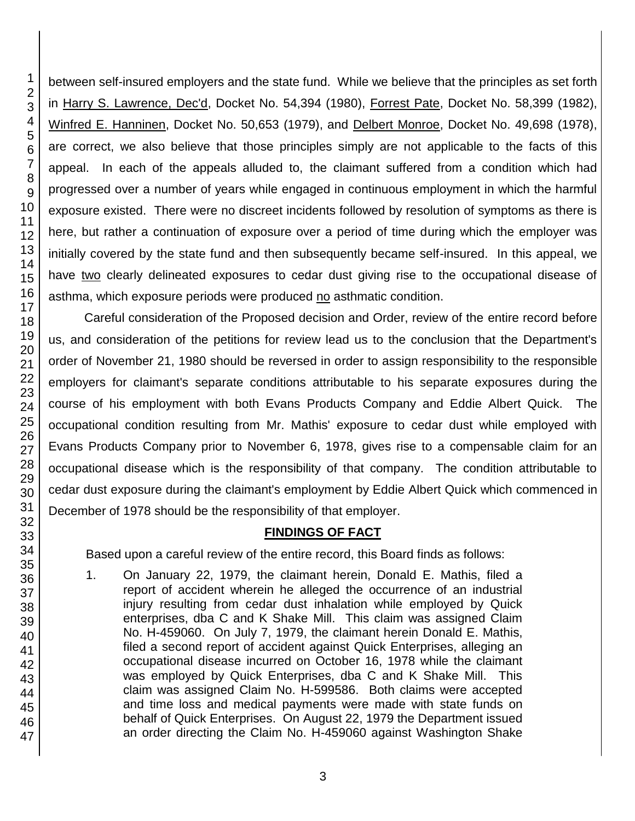46 47

1 2 between self-insured employers and the state fund. While we believe that the principles as set forth in Harry S. Lawrence, Dec'd, Docket No. 54,394 (1980), Forrest Pate, Docket No. 58,399 (1982), Winfred E. Hanninen, Docket No. 50,653 (1979), and Delbert Monroe, Docket No. 49,698 (1978), are correct, we also believe that those principles simply are not applicable to the facts of this appeal. In each of the appeals alluded to, the claimant suffered from a condition which had progressed over a number of years while engaged in continuous employment in which the harmful exposure existed. There were no discreet incidents followed by resolution of symptoms as there is here, but rather a continuation of exposure over a period of time during which the employer was initially covered by the state fund and then subsequently became self-insured. In this appeal, we have two clearly delineated exposures to cedar dust giving rise to the occupational disease of asthma, which exposure periods were produced no asthmatic condition.

Careful consideration of the Proposed decision and Order, review of the entire record before us, and consideration of the petitions for review lead us to the conclusion that the Department's order of November 21, 1980 should be reversed in order to assign responsibility to the responsible employers for claimant's separate conditions attributable to his separate exposures during the course of his employment with both Evans Products Company and Eddie Albert Quick. The occupational condition resulting from Mr. Mathis' exposure to cedar dust while employed with Evans Products Company prior to November 6, 1978, gives rise to a compensable claim for an occupational disease which is the responsibility of that company. The condition attributable to cedar dust exposure during the claimant's employment by Eddie Albert Quick which commenced in December of 1978 should be the responsibility of that employer.

# **FINDINGS OF FACT**

Based upon a careful review of the entire record, this Board finds as follows:

1. On January 22, 1979, the claimant herein, Donald E. Mathis, filed a report of accident wherein he alleged the occurrence of an industrial injury resulting from cedar dust inhalation while employed by Quick enterprises, dba C and K Shake Mill. This claim was assigned Claim No. H-459060. On July 7, 1979, the claimant herein Donald E. Mathis, filed a second report of accident against Quick Enterprises, alleging an occupational disease incurred on October 16, 1978 while the claimant was employed by Quick Enterprises, dba C and K Shake Mill. This claim was assigned Claim No. H-599586. Both claims were accepted and time loss and medical payments were made with state funds on behalf of Quick Enterprises. On August 22, 1979 the Department issued an order directing the Claim No. H-459060 against Washington Shake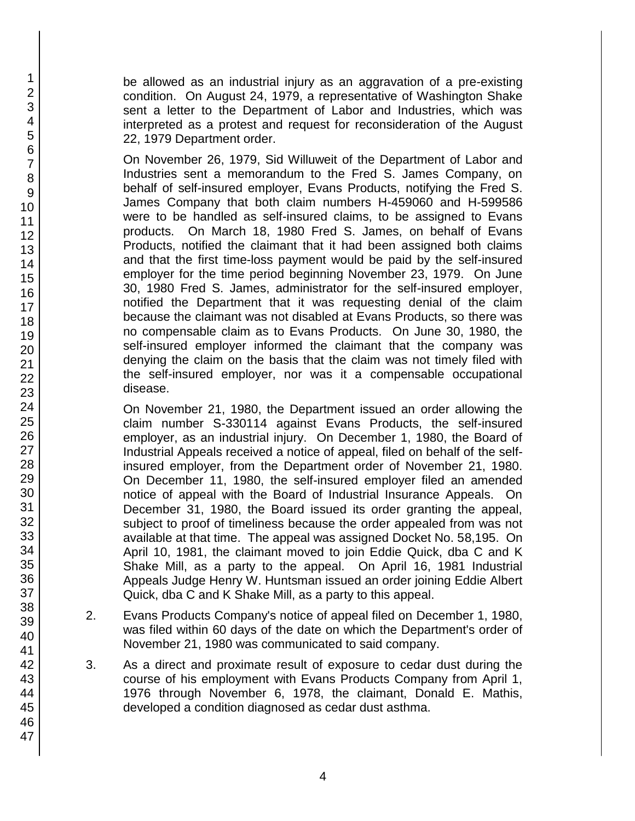be allowed as an industrial injury as an aggravation of a pre-existing condition. On August 24, 1979, a representative of Washington Shake sent a letter to the Department of Labor and Industries, which was interpreted as a protest and request for reconsideration of the August 22, 1979 Department order.

On November 26, 1979, Sid Willuweit of the Department of Labor and Industries sent a memorandum to the Fred S. James Company, on behalf of self-insured employer, Evans Products, notifying the Fred S. James Company that both claim numbers H-459060 and H-599586 were to be handled as self-insured claims, to be assigned to Evans products. On March 18, 1980 Fred S. James, on behalf of Evans Products, notified the claimant that it had been assigned both claims and that the first time-loss payment would be paid by the self-insured employer for the time period beginning November 23, 1979. On June 30, 1980 Fred S. James, administrator for the self-insured employer, notified the Department that it was requesting denial of the claim because the claimant was not disabled at Evans Products, so there was no compensable claim as to Evans Products. On June 30, 1980, the self-insured employer informed the claimant that the company was denying the claim on the basis that the claim was not timely filed with the self-insured employer, nor was it a compensable occupational disease.

On November 21, 1980, the Department issued an order allowing the claim number S-330114 against Evans Products, the self-insured employer, as an industrial injury. On December 1, 1980, the Board of Industrial Appeals received a notice of appeal, filed on behalf of the selfinsured employer, from the Department order of November 21, 1980. On December 11, 1980, the self-insured employer filed an amended notice of appeal with the Board of Industrial Insurance Appeals. On December 31, 1980, the Board issued its order granting the appeal, subject to proof of timeliness because the order appealed from was not available at that time. The appeal was assigned Docket No. 58,195. On April 10, 1981, the claimant moved to join Eddie Quick, dba C and K Shake Mill, as a party to the appeal. On April 16, 1981 Industrial Appeals Judge Henry W. Huntsman issued an order joining Eddie Albert Quick, dba C and K Shake Mill, as a party to this appeal.

- 2. Evans Products Company's notice of appeal filed on December 1, 1980, was filed within 60 days of the date on which the Department's order of November 21, 1980 was communicated to said company.
- 3. As a direct and proximate result of exposure to cedar dust during the course of his employment with Evans Products Company from April 1, 1976 through November 6, 1978, the claimant, Donald E. Mathis, developed a condition diagnosed as cedar dust asthma.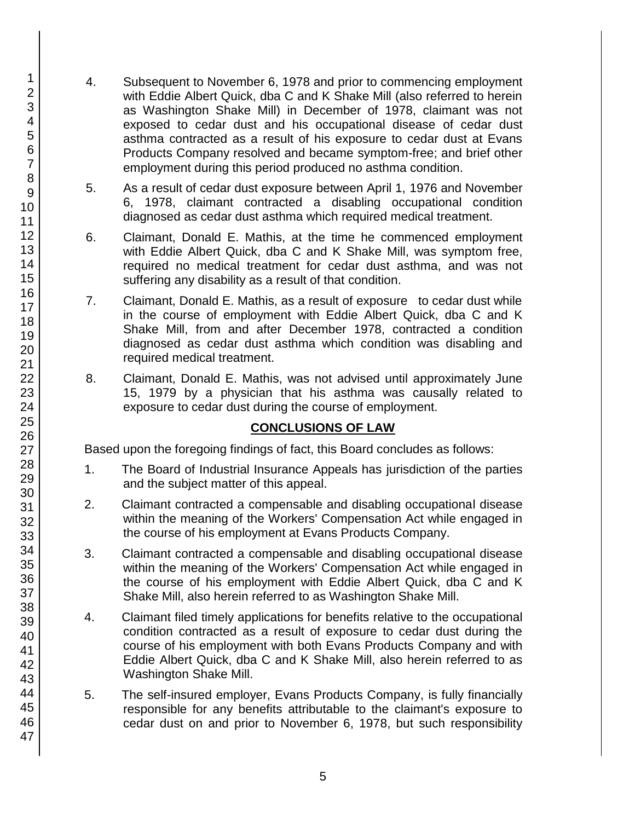- 4. Subsequent to November 6, 1978 and prior to commencing employment with Eddie Albert Quick, dba C and K Shake Mill (also referred to herein as Washington Shake Mill) in December of 1978, claimant was not exposed to cedar dust and his occupational disease of cedar dust asthma contracted as a result of his exposure to cedar dust at Evans Products Company resolved and became symptom-free; and brief other employment during this period produced no asthma condition.
- 5. As a result of cedar dust exposure between April 1, 1976 and November 6, 1978, claimant contracted a disabling occupational condition diagnosed as cedar dust asthma which required medical treatment.
- 6. Claimant, Donald E. Mathis, at the time he commenced employment with Eddie Albert Quick, dba C and K Shake Mill, was symptom free, required no medical treatment for cedar dust asthma, and was not suffering any disability as a result of that condition.
- 7. Claimant, Donald E. Mathis, as a result of exposure to cedar dust while in the course of employment with Eddie Albert Quick, dba C and K Shake Mill, from and after December 1978, contracted a condition diagnosed as cedar dust asthma which condition was disabling and required medical treatment.
- 8. Claimant, Donald E. Mathis, was not advised until approximately June 15, 1979 by a physician that his asthma was causally related to exposure to cedar dust during the course of employment.

## **CONCLUSIONS OF LAW**

Based upon the foregoing findings of fact, this Board concludes as follows:

- 1. The Board of Industrial Insurance Appeals has jurisdiction of the parties and the subject matter of this appeal.
- 2. Claimant contracted a compensable and disabling occupational disease within the meaning of the Workers' Compensation Act while engaged in the course of his employment at Evans Products Company.
- 3. Claimant contracted a compensable and disabling occupational disease within the meaning of the Workers' Compensation Act while engaged in the course of his employment with Eddie Albert Quick, dba C and K Shake Mill, also herein referred to as Washington Shake Mill.
- 4. Claimant filed timely applications for benefits relative to the occupational condition contracted as a result of exposure to cedar dust during the course of his employment with both Evans Products Company and with Eddie Albert Quick, dba C and K Shake Mill, also herein referred to as Washington Shake Mill.
- 5. The self-insured employer, Evans Products Company, is fully financially responsible for any benefits attributable to the claimant's exposure to cedar dust on and prior to November 6, 1978, but such responsibility